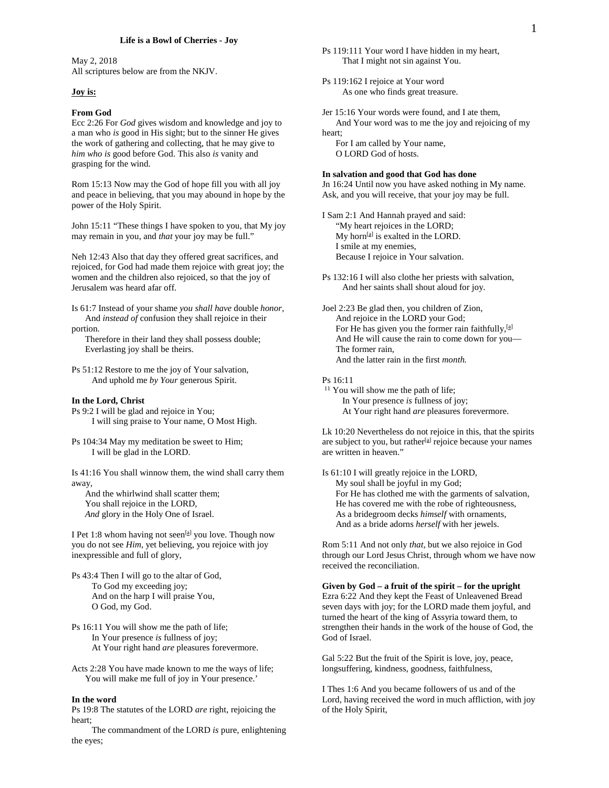May 2, 2018 All scriptures below are from the NKJV.

### **Joy is:**

#### *5B***From God**

Ecc 2:26 For *God* gives wisdom and knowledge and joy to a man who *is* good in His sight; but to the sinner He gives the work of gathering and collecting, that he may give to *him who is* good before God. This also *is* vanity and grasping for the wind.

Rom 15:13 Now may the God of hope fill you with all joy and peace in believing, that you may abound in hope by the power of the Holy Spirit.

John 15:11 "These things I have spoken to you, that My joy may remain in you, and *that* your joy may be full."

Neh 12:43 Also that day they offered great sacrifices, and rejoiced, for God had made them rejoice with great joy; the women and the children also rejoiced, so that the joy of Jerusalem was heard afar off.

Is 61:7 Instead of your shame *you shall have* double *honor,* And *instead of* confusion they shall rejoice in their

portion.

 Therefore in their land they shall possess double; Everlasting joy shall be theirs.

Ps 51:12 Restore to me the joy of Your salvation, And uphold me *by Your* generous Spirit.

# *0B***In the Lord, Christ**

Ps 9:2 I will be glad and rejoice in You; I will sing praise to Your name, O Most High.

Ps 104:34 May my meditation be sweet to Him; I will be glad in the LORD.

Is 41:16 You shall winnow them, the wind shall carry them away,

 And the whirlwind shall scatter them; You shall rejoice in the LORD, *And* glory in the Holy One of Israel.

I Pet 1:8 whom having not seen<sup>[a]</sup> you love. Though now you do not see *Him,* yet believing, you rejoice with joy inexpressible and full of glory,

- Ps 43:4 Then I will go to the altar of God, To God my exceeding joy; And on the harp I will praise You, O God, my God.
- Ps 16:11 You will show me the path of life; In Your presence *is* fullness of joy; At Your right hand *are* pleasures forevermore.
- Acts 2:28 You have made known to me the ways of life; You will make me full of joy in Your presence.'

#### **In the word**

Ps 19:8 The statutes of the LORD *are* right, rejoicing the heart;

 The commandment of the LORD *is* pure, enlightening the eyes;

Ps 119:162 I rejoice at Your word As one who finds great treasure.

Jer 15:16 Your words were found, and I ate them, And Your word was to me the joy and rejoicing of my heart;

 For I am called by Your name, O LORD God of hosts.

# *1B***In salvation and good that God has done**

Jn 16:24 Until now you have asked nothing in My name. Ask, and you will receive, that your joy may be full.

I Sam 2:1 And Hannah prayed and said: "My heart rejoices in the LORD;  $My$  horn<sup>[a]</sup> is exalted in the LORD. I smile at my enemies, Because I rejoice in Your salvation.

Ps 132:16 I will also clothe her priests with salvation, And her saints shall shout aloud for joy.

Joel 2:23 Be glad then, you children of Zion, And rejoice in the LORD your God; For He has given you the former rain faithfully,<sup>[a]</sup> And He will cause the rain to come down for you— The former rain, And the latter rain in the first *month.*

# Ps 16:11

<sup>11</sup> You will show me the path of life; In Your presence *is* fullness of joy; At Your right hand *are* pleasures forevermore.

Lk 10:20 Nevertheless do not rejoice in this, that the spirits are subject to you, but rather<sup>[a]</sup> rejoice because your names are written in heaven."

Is 61:10 I will greatly rejoice in the LORD, My soul shall be joyful in my God; For He has clothed me with the garments of salvation, He has covered me with the robe of righteousness, As a bridegroom decks *himself* with ornaments, And as a bride adorns *herself* with her jewels.

Rom 5:11 And not only *that,* but we also rejoice in God through our Lord Jesus Christ, through whom we have now received the reconciliation.

*2B***Given by God – a fruit of the spirit – for the upright** Ezra 6:22 And they kept the Feast of Unleavened Bread seven days with joy; for the LORD made them joyful, and turned the heart of the king of Assyria toward them, to strengthen their hands in the work of the house of God, the God of Israel.

Gal 5:22 But the fruit of the Spirit is love, joy, peace, longsuffering, kindness, goodness, faithfulness,

I Thes 1:6 And you became followers of us and of the Lord, having received the word in much affliction, with joy of the Holy Spirit,